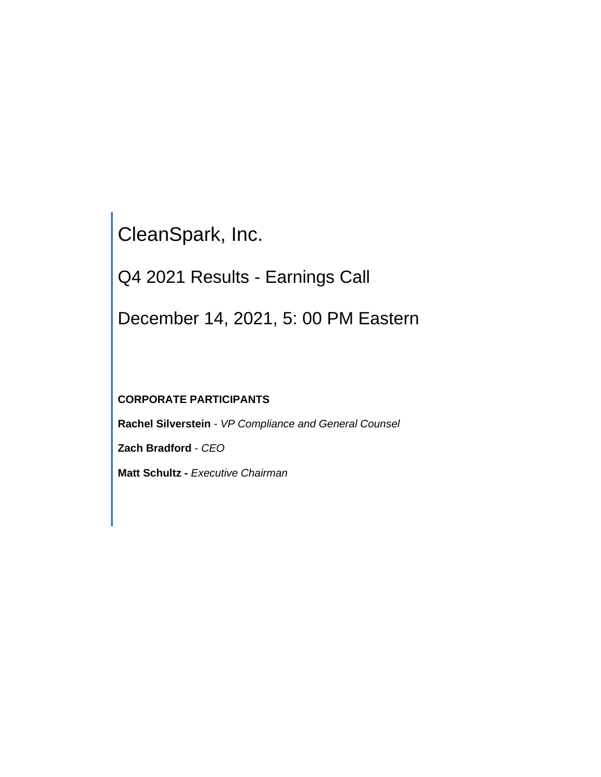CleanSpark, Inc.

Q4 2021 Results - Earnings Call

December 14, 2021, 5: 00 PM Eastern

# **CORPORATE PARTICIPANTS**

**Rachel Silverstein** - *VP Compliance and General Counsel*

**Zach Bradford** - *CEO*

**Matt Schultz -** *Executive Chairman*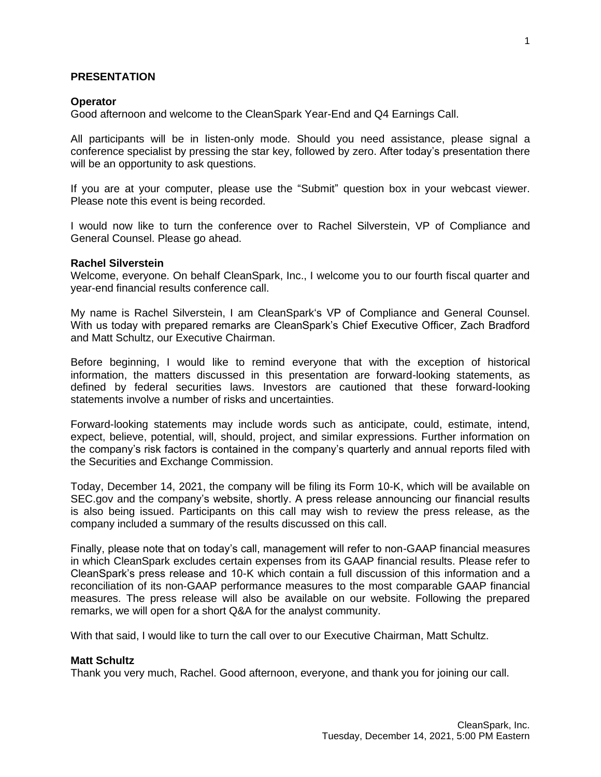# **PRESENTATION**

#### **Operator**

Good afternoon and welcome to the CleanSpark Year-End and Q4 Earnings Call.

All participants will be in listen-only mode. Should you need assistance, please signal a conference specialist by pressing the star key, followed by zero. After today's presentation there will be an opportunity to ask questions.

If you are at your computer, please use the "Submit" question box in your webcast viewer. Please note this event is being recorded.

I would now like to turn the conference over to Rachel Silverstein, VP of Compliance and General Counsel. Please go ahead.

#### **Rachel Silverstein**

Welcome, everyone. On behalf CleanSpark, Inc., I welcome you to our fourth fiscal quarter and year-end financial results conference call.

My name is Rachel Silverstein, I am CleanSpark's VP of Compliance and General Counsel. With us today with prepared remarks are CleanSpark's Chief Executive Officer, Zach Bradford and Matt Schultz, our Executive Chairman.

Before beginning, I would like to remind everyone that with the exception of historical information, the matters discussed in this presentation are forward-looking statements, as defined by federal securities laws. Investors are cautioned that these forward-looking statements involve a number of risks and uncertainties.

Forward-looking statements may include words such as anticipate, could, estimate, intend, expect, believe, potential, will, should, project, and similar expressions. Further information on the company's risk factors is contained in the company's quarterly and annual reports filed with the Securities and Exchange Commission.

Today, December 14, 2021, the company will be filing its Form 10-K, which will be available on SEC.gov and the company's website, shortly. A press release announcing our financial results is also being issued. Participants on this call may wish to review the press release, as the company included a summary of the results discussed on this call.

Finally, please note that on today's call, management will refer to non-GAAP financial measures in which CleanSpark excludes certain expenses from its GAAP financial results. Please refer to CleanSpark's press release and 10-K which contain a full discussion of this information and a reconciliation of its non-GAAP performance measures to the most comparable GAAP financial measures. The press release will also be available on our website. Following the prepared remarks, we will open for a short Q&A for the analyst community.

With that said, I would like to turn the call over to our Executive Chairman, Matt Schultz.

#### **Matt Schultz**

Thank you very much, Rachel. Good afternoon, everyone, and thank you for joining our call.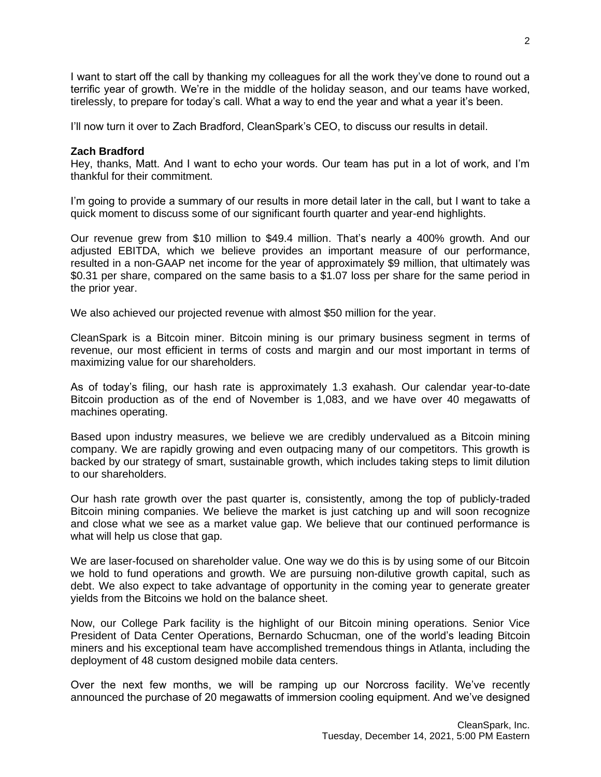I want to start off the call by thanking my colleagues for all the work they've done to round out a terrific year of growth. We're in the middle of the holiday season, and our teams have worked, tirelessly, to prepare for today's call. What a way to end the year and what a year it's been.

I'll now turn it over to Zach Bradford, CleanSpark's CEO, to discuss our results in detail.

# **Zach Bradford**

Hey, thanks, Matt. And I want to echo your words. Our team has put in a lot of work, and I'm thankful for their commitment.

I'm going to provide a summary of our results in more detail later in the call, but I want to take a quick moment to discuss some of our significant fourth quarter and year-end highlights.

Our revenue grew from \$10 million to \$49.4 million. That's nearly a 400% growth. And our adjusted EBITDA, which we believe provides an important measure of our performance, resulted in a non-GAAP net income for the year of approximately \$9 million, that ultimately was \$0.31 per share, compared on the same basis to a \$1.07 loss per share for the same period in the prior year.

We also achieved our projected revenue with almost \$50 million for the year.

CleanSpark is a Bitcoin miner. Bitcoin mining is our primary business segment in terms of revenue, our most efficient in terms of costs and margin and our most important in terms of maximizing value for our shareholders.

As of today's filing, our hash rate is approximately 1.3 exahash. Our calendar year-to-date Bitcoin production as of the end of November is 1,083, and we have over 40 megawatts of machines operating.

Based upon industry measures, we believe we are credibly undervalued as a Bitcoin mining company. We are rapidly growing and even outpacing many of our competitors. This growth is backed by our strategy of smart, sustainable growth, which includes taking steps to limit dilution to our shareholders.

Our hash rate growth over the past quarter is, consistently, among the top of publicly-traded Bitcoin mining companies. We believe the market is just catching up and will soon recognize and close what we see as a market value gap. We believe that our continued performance is what will help us close that gap.

We are laser-focused on shareholder value. One way we do this is by using some of our Bitcoin we hold to fund operations and growth. We are pursuing non-dilutive growth capital, such as debt. We also expect to take advantage of opportunity in the coming year to generate greater yields from the Bitcoins we hold on the balance sheet.

Now, our College Park facility is the highlight of our Bitcoin mining operations. Senior Vice President of Data Center Operations, Bernardo Schucman, one of the world's leading Bitcoin miners and his exceptional team have accomplished tremendous things in Atlanta, including the deployment of 48 custom designed mobile data centers.

Over the next few months, we will be ramping up our Norcross facility. We've recently announced the purchase of 20 megawatts of immersion cooling equipment. And we've designed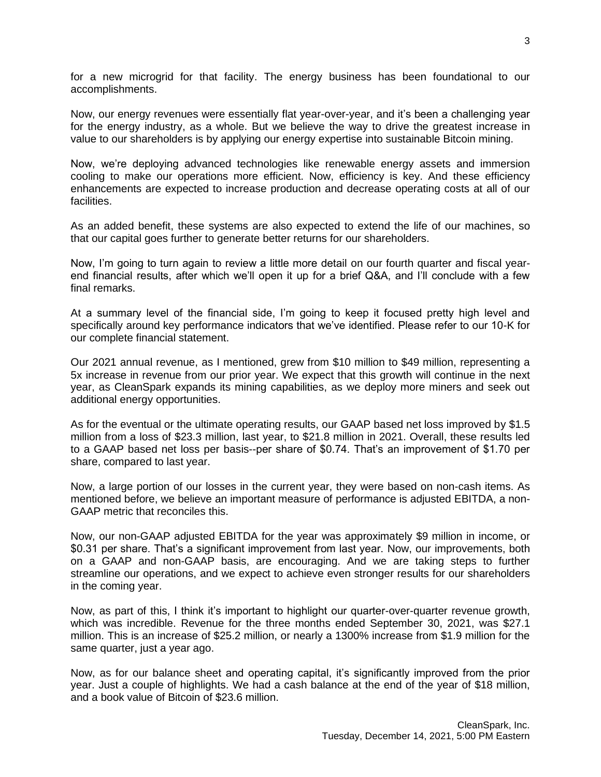for a new microgrid for that facility. The energy business has been foundational to our accomplishments.

Now, our energy revenues were essentially flat year-over-year, and it's been a challenging year for the energy industry, as a whole. But we believe the way to drive the greatest increase in value to our shareholders is by applying our energy expertise into sustainable Bitcoin mining.

Now, we're deploying advanced technologies like renewable energy assets and immersion cooling to make our operations more efficient. Now, efficiency is key. And these efficiency enhancements are expected to increase production and decrease operating costs at all of our facilities.

As an added benefit, these systems are also expected to extend the life of our machines, so that our capital goes further to generate better returns for our shareholders.

Now, I'm going to turn again to review a little more detail on our fourth quarter and fiscal yearend financial results, after which we'll open it up for a brief Q&A, and I'll conclude with a few final remarks.

At a summary level of the financial side, I'm going to keep it focused pretty high level and specifically around key performance indicators that we've identified. Please refer to our 10-K for our complete financial statement.

Our 2021 annual revenue, as I mentioned, grew from \$10 million to \$49 million, representing a 5x increase in revenue from our prior year. We expect that this growth will continue in the next year, as CleanSpark expands its mining capabilities, as we deploy more miners and seek out additional energy opportunities.

As for the eventual or the ultimate operating results, our GAAP based net loss improved by \$1.5 million from a loss of \$23.3 million, last year, to \$21.8 million in 2021. Overall, these results led to a GAAP based net loss per basis--per share of \$0.74. That's an improvement of \$1.70 per share, compared to last year.

Now, a large portion of our losses in the current year, they were based on non-cash items. As mentioned before, we believe an important measure of performance is adjusted EBITDA, a non-GAAP metric that reconciles this.

Now, our non-GAAP adjusted EBITDA for the year was approximately \$9 million in income, or \$0.31 per share. That's a significant improvement from last year. Now, our improvements, both on a GAAP and non-GAAP basis, are encouraging. And we are taking steps to further streamline our operations, and we expect to achieve even stronger results for our shareholders in the coming year.

Now, as part of this, I think it's important to highlight our quarter-over-quarter revenue growth, which was incredible. Revenue for the three months ended September 30, 2021, was \$27.1 million. This is an increase of \$25.2 million, or nearly a 1300% increase from \$1.9 million for the same quarter, just a year ago.

Now, as for our balance sheet and operating capital, it's significantly improved from the prior year. Just a couple of highlights. We had a cash balance at the end of the year of \$18 million, and a book value of Bitcoin of \$23.6 million.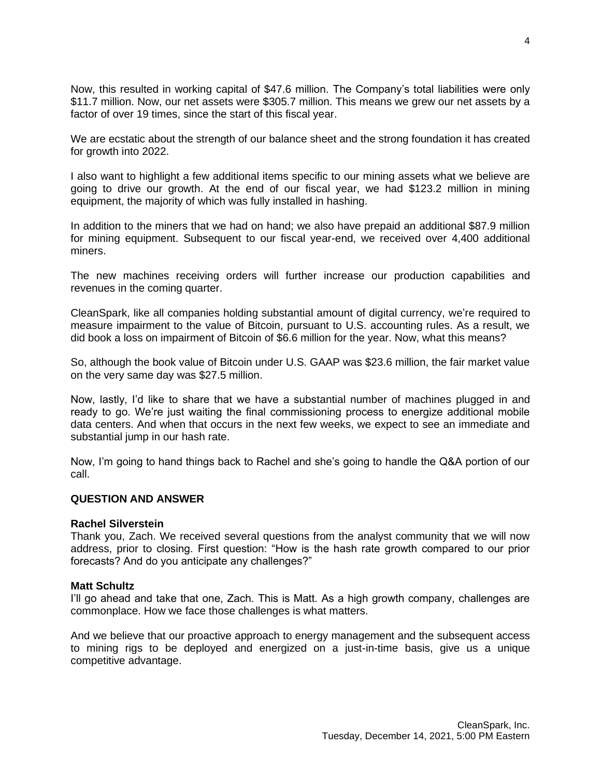Now, this resulted in working capital of \$47.6 million. The Company's total liabilities were only \$11.7 million. Now, our net assets were \$305.7 million. This means we grew our net assets by a factor of over 19 times, since the start of this fiscal year.

We are ecstatic about the strength of our balance sheet and the strong foundation it has created for growth into 2022.

I also want to highlight a few additional items specific to our mining assets what we believe are going to drive our growth. At the end of our fiscal year, we had \$123.2 million in mining equipment, the majority of which was fully installed in hashing.

In addition to the miners that we had on hand; we also have prepaid an additional \$87.9 million for mining equipment. Subsequent to our fiscal year-end, we received over 4,400 additional miners.

The new machines receiving orders will further increase our production capabilities and revenues in the coming quarter.

CleanSpark, like all companies holding substantial amount of digital currency, we're required to measure impairment to the value of Bitcoin, pursuant to U.S. accounting rules. As a result, we did book a loss on impairment of Bitcoin of \$6.6 million for the year. Now, what this means?

So, although the book value of Bitcoin under U.S. GAAP was \$23.6 million, the fair market value on the very same day was \$27.5 million.

Now, lastly, I'd like to share that we have a substantial number of machines plugged in and ready to go. We're just waiting the final commissioning process to energize additional mobile data centers. And when that occurs in the next few weeks, we expect to see an immediate and substantial jump in our hash rate.

Now, I'm going to hand things back to Rachel and she's going to handle the Q&A portion of our call.

# **QUESTION AND ANSWER**

## **Rachel Silverstein**

Thank you, Zach. We received several questions from the analyst community that we will now address, prior to closing. First question: "How is the hash rate growth compared to our prior forecasts? And do you anticipate any challenges?"

## **Matt Schultz**

I'll go ahead and take that one, Zach. This is Matt. As a high growth company, challenges are commonplace. How we face those challenges is what matters.

And we believe that our proactive approach to energy management and the subsequent access to mining rigs to be deployed and energized on a just-in-time basis, give us a unique competitive advantage.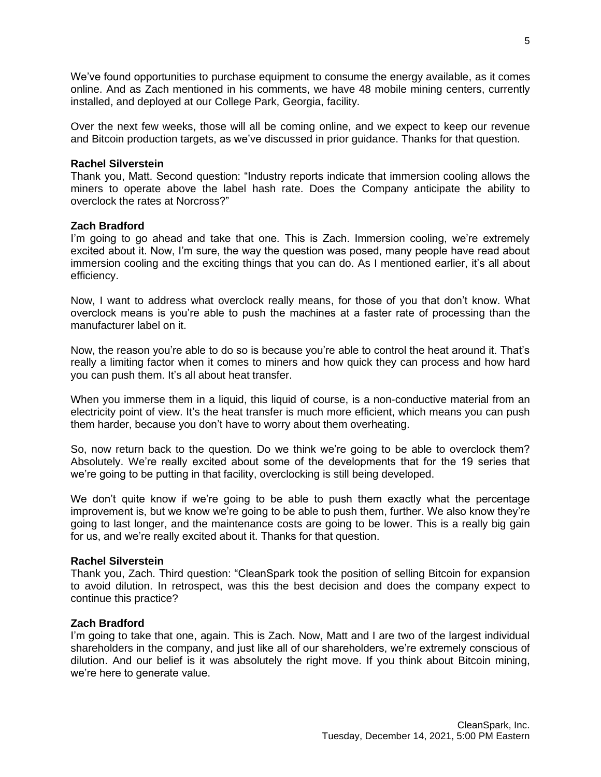We've found opportunities to purchase equipment to consume the energy available, as it comes online. And as Zach mentioned in his comments, we have 48 mobile mining centers, currently installed, and deployed at our College Park, Georgia, facility.

Over the next few weeks, those will all be coming online, and we expect to keep our revenue and Bitcoin production targets, as we've discussed in prior guidance. Thanks for that question.

# **Rachel Silverstein**

Thank you, Matt. Second question: "Industry reports indicate that immersion cooling allows the miners to operate above the label hash rate. Does the Company anticipate the ability to overclock the rates at Norcross?"

# **Zach Bradford**

I'm going to go ahead and take that one. This is Zach. Immersion cooling, we're extremely excited about it. Now, I'm sure, the way the question was posed, many people have read about immersion cooling and the exciting things that you can do. As I mentioned earlier, it's all about efficiency.

Now, I want to address what overclock really means, for those of you that don't know. What overclock means is you're able to push the machines at a faster rate of processing than the manufacturer label on it.

Now, the reason you're able to do so is because you're able to control the heat around it. That's really a limiting factor when it comes to miners and how quick they can process and how hard you can push them. It's all about heat transfer.

When you immerse them in a liquid, this liquid of course, is a non-conductive material from an electricity point of view. It's the heat transfer is much more efficient, which means you can push them harder, because you don't have to worry about them overheating.

So, now return back to the question. Do we think we're going to be able to overclock them? Absolutely. We're really excited about some of the developments that for the 19 series that we're going to be putting in that facility, overclocking is still being developed.

We don't quite know if we're going to be able to push them exactly what the percentage improvement is, but we know we're going to be able to push them, further. We also know they're going to last longer, and the maintenance costs are going to be lower. This is a really big gain for us, and we're really excited about it. Thanks for that question.

## **Rachel Silverstein**

Thank you, Zach. Third question: "CleanSpark took the position of selling Bitcoin for expansion to avoid dilution. In retrospect, was this the best decision and does the company expect to continue this practice?

# **Zach Bradford**

I'm going to take that one, again. This is Zach. Now, Matt and I are two of the largest individual shareholders in the company, and just like all of our shareholders, we're extremely conscious of dilution. And our belief is it was absolutely the right move. If you think about Bitcoin mining, we're here to generate value.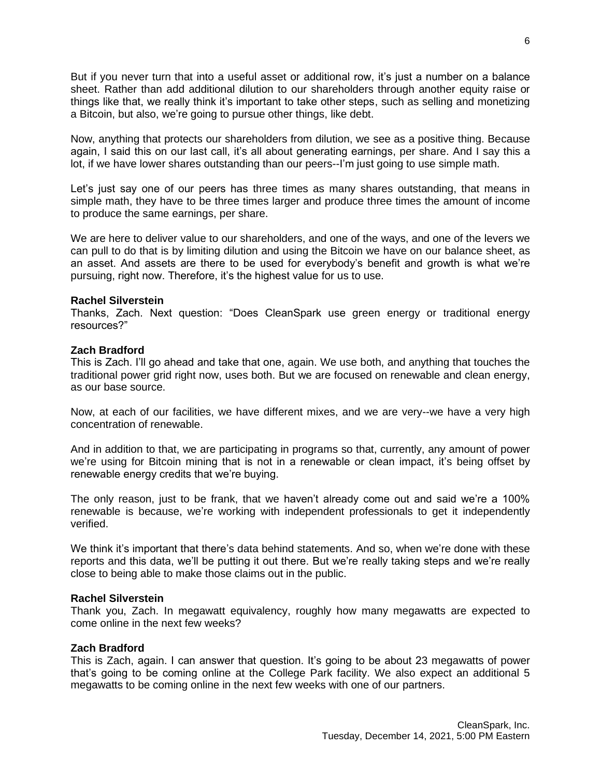But if you never turn that into a useful asset or additional row, it's just a number on a balance sheet. Rather than add additional dilution to our shareholders through another equity raise or things like that, we really think it's important to take other steps, such as selling and monetizing a Bitcoin, but also, we're going to pursue other things, like debt.

Now, anything that protects our shareholders from dilution, we see as a positive thing. Because again, I said this on our last call, it's all about generating earnings, per share. And I say this a lot, if we have lower shares outstanding than our peers--I'm just going to use simple math.

Let's just say one of our peers has three times as many shares outstanding, that means in simple math, they have to be three times larger and produce three times the amount of income to produce the same earnings, per share.

We are here to deliver value to our shareholders, and one of the ways, and one of the levers we can pull to do that is by limiting dilution and using the Bitcoin we have on our balance sheet, as an asset. And assets are there to be used for everybody's benefit and growth is what we're pursuing, right now. Therefore, it's the highest value for us to use.

# **Rachel Silverstein**

Thanks, Zach. Next question: "Does CleanSpark use green energy or traditional energy resources?"

# **Zach Bradford**

This is Zach. I'll go ahead and take that one, again. We use both, and anything that touches the traditional power grid right now, uses both. But we are focused on renewable and clean energy, as our base source.

Now, at each of our facilities, we have different mixes, and we are very--we have a very high concentration of renewable.

And in addition to that, we are participating in programs so that, currently, any amount of power we're using for Bitcoin mining that is not in a renewable or clean impact, it's being offset by renewable energy credits that we're buying.

The only reason, just to be frank, that we haven't already come out and said we're a 100% renewable is because, we're working with independent professionals to get it independently verified.

We think it's important that there's data behind statements. And so, when we're done with these reports and this data, we'll be putting it out there. But we're really taking steps and we're really close to being able to make those claims out in the public.

## **Rachel Silverstein**

Thank you, Zach. In megawatt equivalency, roughly how many megawatts are expected to come online in the next few weeks?

# **Zach Bradford**

This is Zach, again. I can answer that question. It's going to be about 23 megawatts of power that's going to be coming online at the College Park facility. We also expect an additional 5 megawatts to be coming online in the next few weeks with one of our partners.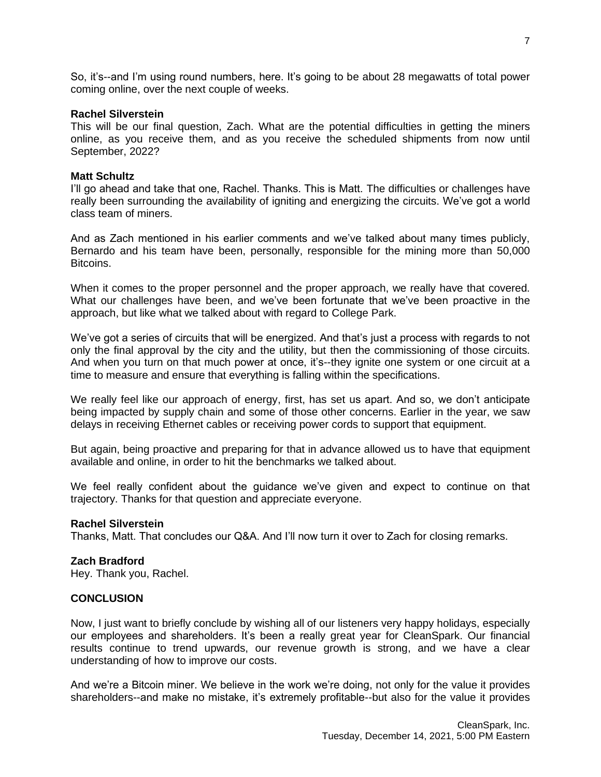So, it's--and I'm using round numbers, here. It's going to be about 28 megawatts of total power coming online, over the next couple of weeks.

#### **Rachel Silverstein**

This will be our final question, Zach. What are the potential difficulties in getting the miners online, as you receive them, and as you receive the scheduled shipments from now until September, 2022?

## **Matt Schultz**

I'll go ahead and take that one, Rachel. Thanks. This is Matt. The difficulties or challenges have really been surrounding the availability of igniting and energizing the circuits. We've got a world class team of miners.

And as Zach mentioned in his earlier comments and we've talked about many times publicly, Bernardo and his team have been, personally, responsible for the mining more than 50,000 Bitcoins.

When it comes to the proper personnel and the proper approach, we really have that covered. What our challenges have been, and we've been fortunate that we've been proactive in the approach, but like what we talked about with regard to College Park.

We've got a series of circuits that will be energized. And that's just a process with regards to not only the final approval by the city and the utility, but then the commissioning of those circuits. And when you turn on that much power at once, it's--they ignite one system or one circuit at a time to measure and ensure that everything is falling within the specifications.

We really feel like our approach of energy, first, has set us apart. And so, we don't anticipate being impacted by supply chain and some of those other concerns. Earlier in the year, we saw delays in receiving Ethernet cables or receiving power cords to support that equipment.

But again, being proactive and preparing for that in advance allowed us to have that equipment available and online, in order to hit the benchmarks we talked about.

We feel really confident about the guidance we've given and expect to continue on that trajectory. Thanks for that question and appreciate everyone.

# **Rachel Silverstein**

Thanks, Matt. That concludes our Q&A. And I'll now turn it over to Zach for closing remarks.

# **Zach Bradford**

Hey. Thank you, Rachel.

# **CONCLUSION**

Now, I just want to briefly conclude by wishing all of our listeners very happy holidays, especially our employees and shareholders. It's been a really great year for CleanSpark. Our financial results continue to trend upwards, our revenue growth is strong, and we have a clear understanding of how to improve our costs.

And we're a Bitcoin miner. We believe in the work we're doing, not only for the value it provides shareholders--and make no mistake, it's extremely profitable--but also for the value it provides